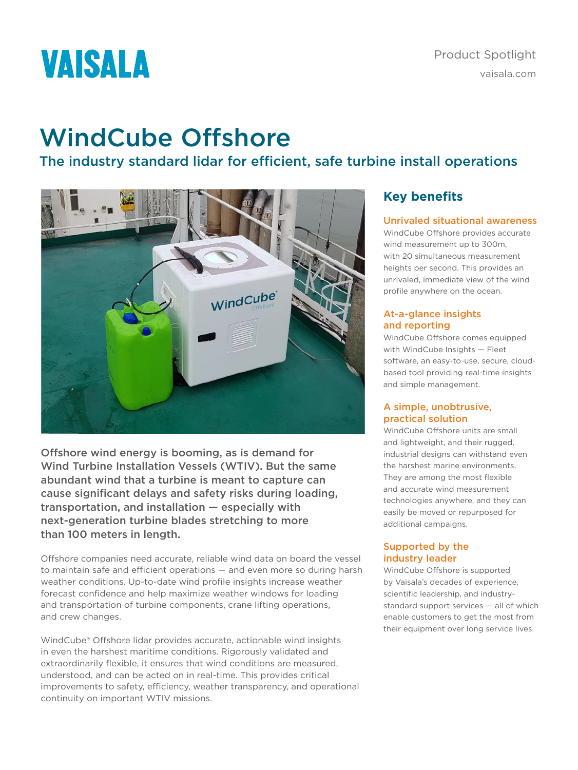# **VAISALA**

## WindCube Offshore

The industry standard lidar for efficient, safe turbine install operations



Offshore wind energy is booming, as is demand for Wind Turbine Installation Vessels (WTIV). But the same abundant wind that a turbine is meant to capture can cause significant delays and safety risks during loading, transportation, and installation — especially with next-generation turbine blades stretching to more than 100 meters in length.

Offshore companies need accurate, reliable wind data on board the vessel to maintain safe and efficient operations — and even more so during harsh weather conditions. Up-to-date wind profile insights increase weather forecast confidence and help maximize weather windows for loading and transportation of turbine components, crane lifting operations, and crew changes.

WindCube® Offshore lidar provides accurate, actionable wind insights in even the harshest maritime conditions. Rigorously validated and extraordinarily flexible, it ensures that wind conditions are measured, understood, and can be acted on in real-time. This provides critical improvements to safety, efficiency, weather transparency, and operational continuity on important WTIV missions.

## **Key benefits**

## Unrivaled situational awareness

WindCube Offshore provides accurate wind measurement up to 300m, with 20 simultaneous measurement heights per second. This provides an unrivaled, immediate view of the wind profile anywhere on the ocean.

## At-a-glance insights and reporting

WindCube Offshore comes equipped with WindCube Insights — Fleet software, an easy-to-use, secure, cloudbased tool providing real-time insights and simple management.

## A simple, unobtrusive, practical solution

WindCube Offshore units are small and lightweight, and their rugged, industrial designs can withstand even the harshest marine environments. They are among the most flexible and accurate wind measurement technologies anywhere, and they can easily be moved or repurposed for additional campaigns.

## Supported by the industry leader

WindCube Offshore is supported by Vaisala's decades of experience, scientific leadership, and industrystandard support services — all of which enable customers to get the most from their equipment over long service lives.